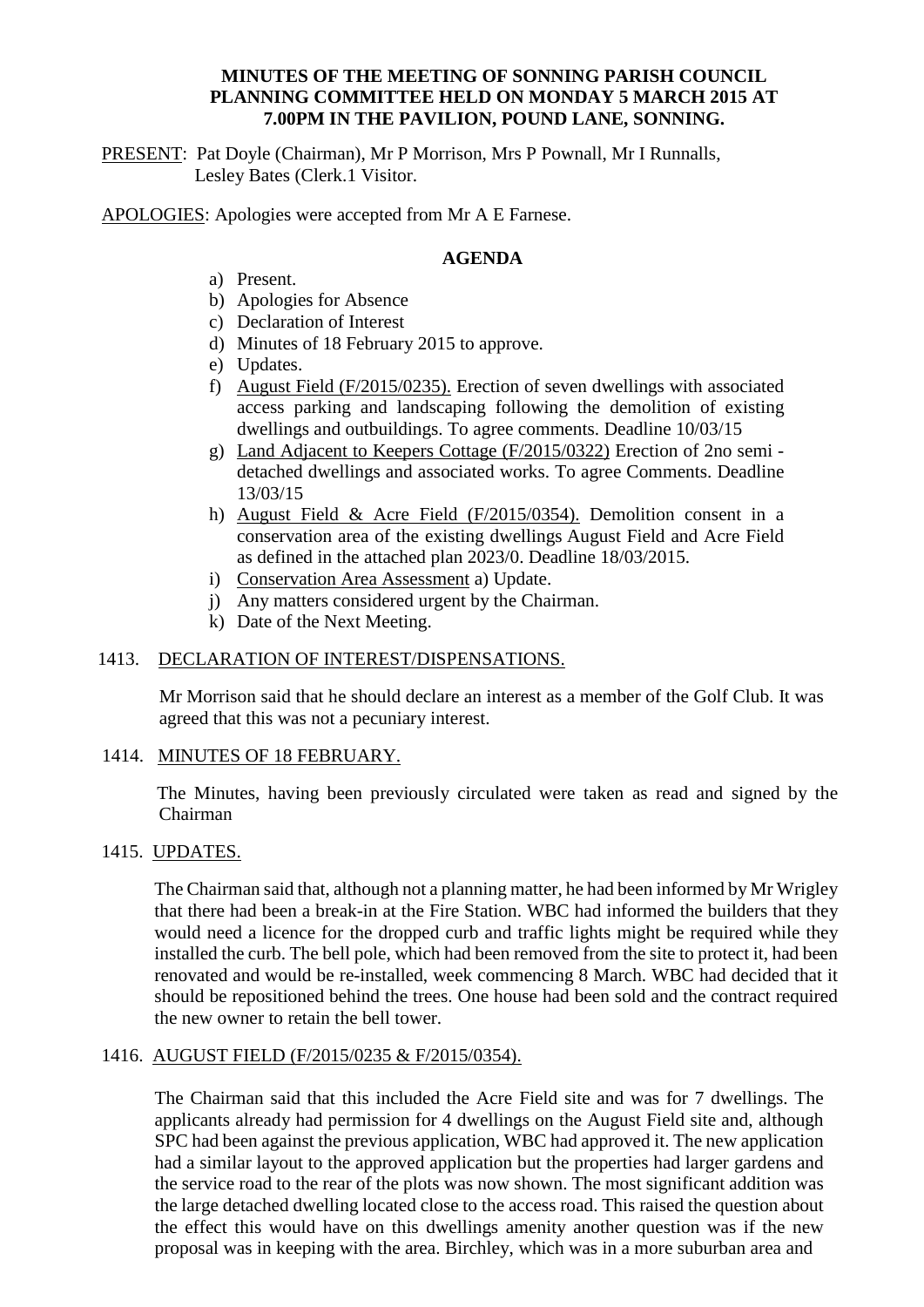# **MINUTES OF THE MEETING OF SONNING PARISH COUNCIL PLANNING COMMITTEE HELD ON MONDAY 5 MARCH 2015 AT 7.00PM IN THE PAVILION, POUND LANE, SONNING.**

PRESENT: Pat Doyle (Chairman), Mr P Morrison, Mrs P Pownall, Mr I Runnalls, Lesley Bates (Clerk.1 Visitor.

APOLOGIES: Apologies were accepted from Mr A E Farnese.

## **AGENDA**

- a) Present.
- b) Apologies for Absence
- c) Declaration of Interest
- d) Minutes of 18 February 2015 to approve.
- e) Updates.
- f) August Field (F/2015/0235). Erection of seven dwellings with associated access parking and landscaping following the demolition of existing dwellings and outbuildings. To agree comments. Deadline 10/03/15
- g) Land Adjacent to Keepers Cottage (F/2015/0322) Erection of 2no semi detached dwellings and associated works. To agree Comments. Deadline 13/03/15
- h) August Field & Acre Field (F/2015/0354). Demolition consent in a conservation area of the existing dwellings August Field and Acre Field as defined in the attached plan 2023/0. Deadline 18/03/2015.
- i) Conservation Area Assessment a) Update.
- j) Any matters considered urgent by the Chairman.
- k) Date of the Next Meeting.

## 1413. DECLARATION OF INTEREST/DISPENSATIONS.

Mr Morrison said that he should declare an interest as a member of the Golf Club. It was agreed that this was not a pecuniary interest.

#### 1414. MINUTES OF 18 FEBRUARY.

 The Minutes, having been previously circulated were taken as read and signed by the Chairman

#### 1415. UPDATES.

The Chairman said that, although not a planning matter, he had been informed by Mr Wrigley that there had been a break-in at the Fire Station. WBC had informed the builders that they would need a licence for the dropped curb and traffic lights might be required while they installed the curb. The bell pole, which had been removed from the site to protect it, had been renovated and would be re-installed, week commencing 8 March. WBC had decided that it should be repositioned behind the trees. One house had been sold and the contract required the new owner to retain the bell tower.

#### 1416. AUGUST FIELD (F/2015/0235 & F/2015/0354).

The Chairman said that this included the Acre Field site and was for 7 dwellings. The applicants already had permission for 4 dwellings on the August Field site and, although SPC had been against the previous application, WBC had approved it. The new application had a similar layout to the approved application but the properties had larger gardens and the service road to the rear of the plots was now shown. The most significant addition was the large detached dwelling located close to the access road. This raised the question about the effect this would have on this dwellings amenity another question was if the new proposal was in keeping with the area. Birchley, which was in a more suburban area and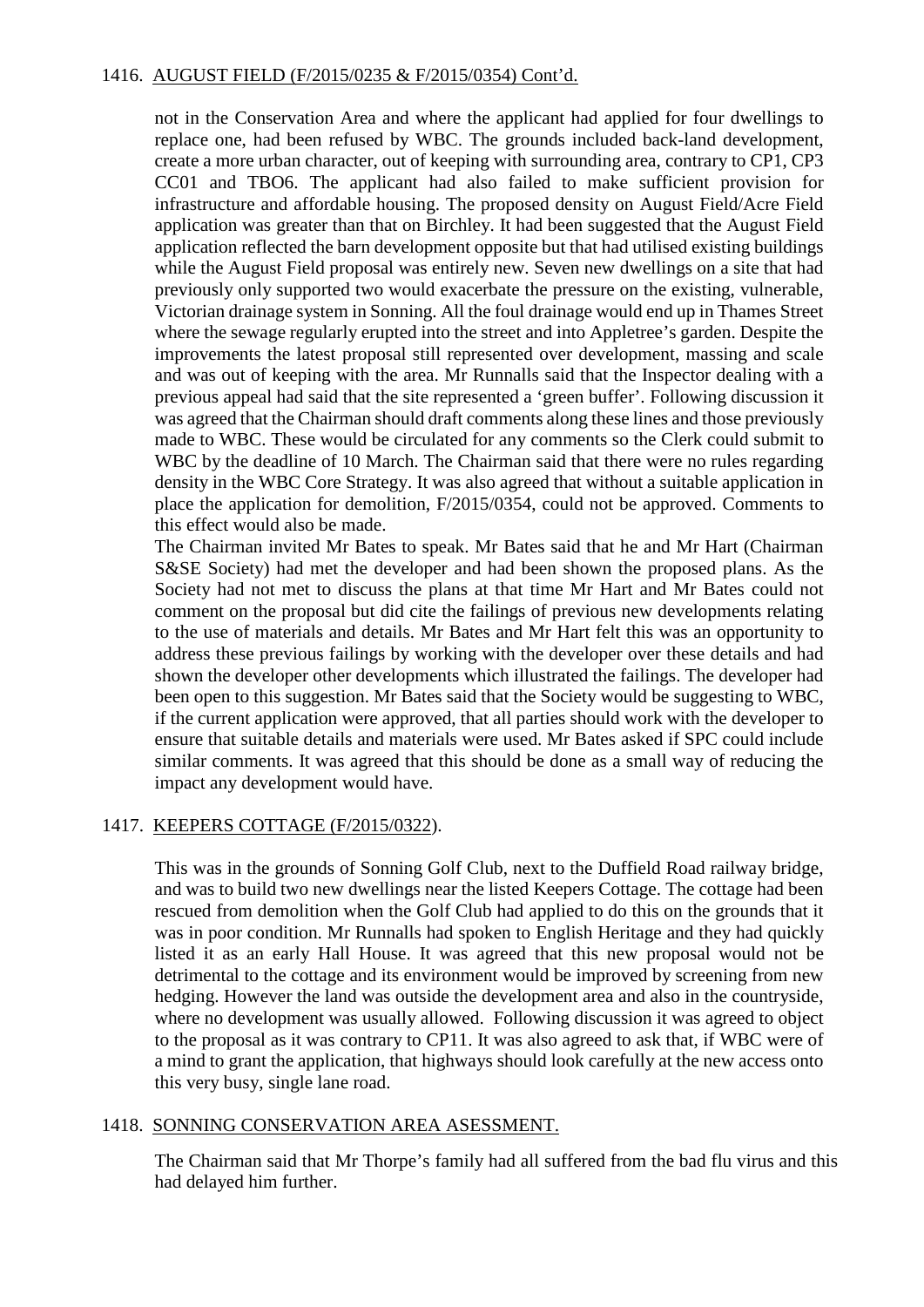# 1416. AUGUST FIELD (F/2015/0235 & F/2015/0354) Cont'd.

not in the Conservation Area and where the applicant had applied for four dwellings to replace one, had been refused by WBC. The grounds included back-land development, create a more urban character, out of keeping with surrounding area, contrary to CP1, CP3 CC01 and TBO6. The applicant had also failed to make sufficient provision for infrastructure and affordable housing. The proposed density on August Field/Acre Field application was greater than that on Birchley. It had been suggested that the August Field application reflected the barn development opposite but that had utilised existing buildings while the August Field proposal was entirely new. Seven new dwellings on a site that had previously only supported two would exacerbate the pressure on the existing, vulnerable, Victorian drainage system in Sonning. All the foul drainage would end up in Thames Street where the sewage regularly erupted into the street and into Appletree's garden. Despite the improvements the latest proposal still represented over development, massing and scale and was out of keeping with the area. Mr Runnalls said that the Inspector dealing with a previous appeal had said that the site represented a 'green buffer'. Following discussion it was agreed that the Chairman should draft comments along these lines and those previously made to WBC. These would be circulated for any comments so the Clerk could submit to WBC by the deadline of 10 March. The Chairman said that there were no rules regarding density in the WBC Core Strategy. It was also agreed that without a suitable application in place the application for demolition, F/2015/0354, could not be approved. Comments to this effect would also be made.

The Chairman invited Mr Bates to speak. Mr Bates said that he and Mr Hart (Chairman S&SE Society) had met the developer and had been shown the proposed plans. As the Society had not met to discuss the plans at that time Mr Hart and Mr Bates could not comment on the proposal but did cite the failings of previous new developments relating to the use of materials and details. Mr Bates and Mr Hart felt this was an opportunity to address these previous failings by working with the developer over these details and had shown the developer other developments which illustrated the failings. The developer had been open to this suggestion. Mr Bates said that the Society would be suggesting to WBC, if the current application were approved, that all parties should work with the developer to ensure that suitable details and materials were used. Mr Bates asked if SPC could include similar comments. It was agreed that this should be done as a small way of reducing the impact any development would have.

#### 1417. KEEPERS COTTAGE (F/2015/0322).

This was in the grounds of Sonning Golf Club, next to the Duffield Road railway bridge, and was to build two new dwellings near the listed Keepers Cottage. The cottage had been rescued from demolition when the Golf Club had applied to do this on the grounds that it was in poor condition. Mr Runnalls had spoken to English Heritage and they had quickly listed it as an early Hall House. It was agreed that this new proposal would not be detrimental to the cottage and its environment would be improved by screening from new hedging. However the land was outside the development area and also in the countryside, where no development was usually allowed. Following discussion it was agreed to object to the proposal as it was contrary to CP11. It was also agreed to ask that, if WBC were of a mind to grant the application, that highways should look carefully at the new access onto this very busy, single lane road.

#### 1418. SONNING CONSERVATION AREA ASESSMENT.

The Chairman said that Mr Thorpe's family had all suffered from the bad flu virus and this had delayed him further.